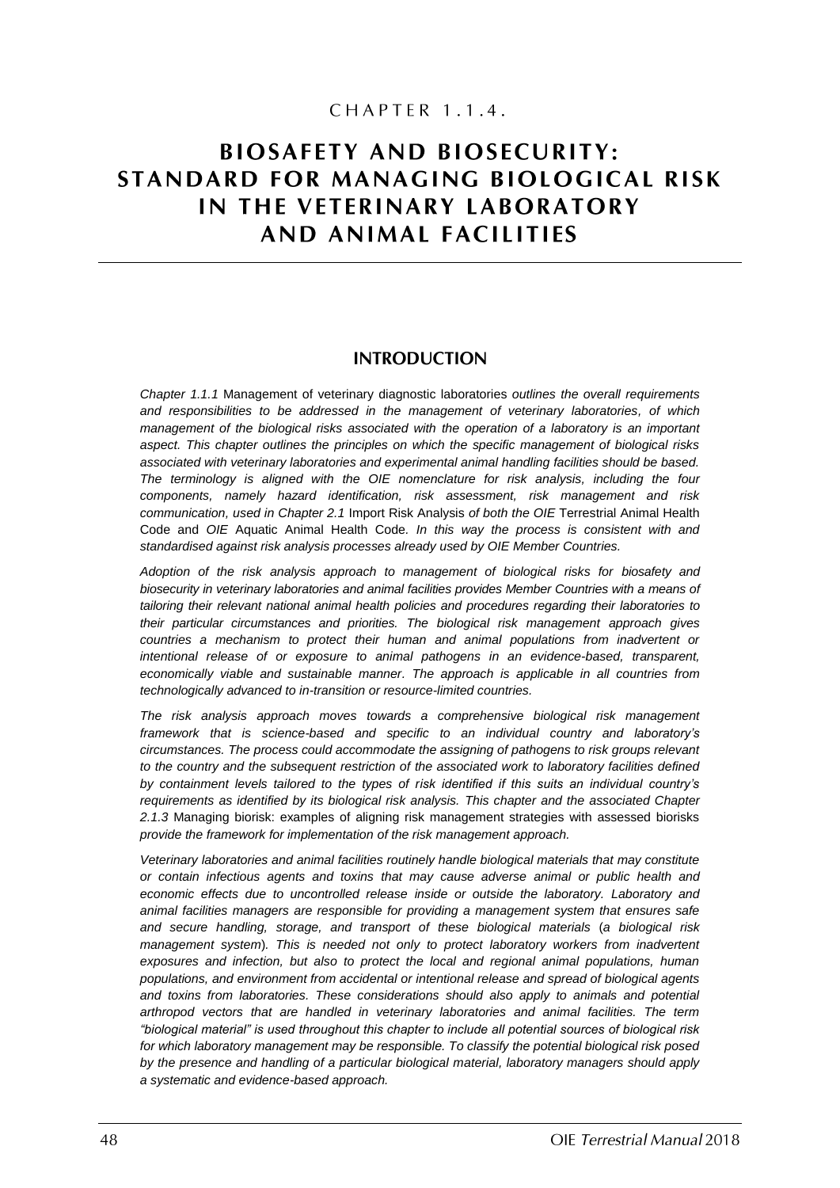# CHAPTER 1.1.4.

# **BIOSAFETY AND BIOSECURITY:** STANDARD FOR MANAGING BIOLOGICAL RISK IN THE VETERINARY LABORATORY AND ANIMAL FACILITIES

### **INTRODUCTION**

*Chapter 1.1.1* Management of veterinary diagnostic laboratories *outlines the overall requirements and responsibilities to be addressed in the management of veterinary laboratories, of which management of the biological risks associated with the operation of a laboratory is an important aspect. This chapter outlines the principles on which the specific management of biological risks associated with veterinary laboratories and experimental animal handling facilities should be based. The terminology is aligned with the OIE nomenclature for risk analysis, including the four components, namely hazard identification, risk assessment, risk management and risk communication, used in Chapter 2.1* Import Risk Analysis *of both the OIE* Terrestrial Animal Health Code and *OIE* Aquatic Animal Health Code*. In this way the process is consistent with and standardised against risk analysis processes already used by OIE Member Countries.* 

*Adoption of the risk analysis approach to management of biological risks for biosafety and biosecurity in veterinary laboratories and animal facilities provides Member Countries with a means of tailoring their relevant national animal health policies and procedures regarding their laboratories to their particular circumstances and priorities. The biological risk management approach gives countries a mechanism to protect their human and animal populations from inadvertent or intentional release of or exposure to animal pathogens in an evidence-based, transparent, economically viable and sustainable manner. The approach is applicable in all countries from technologically advanced to in-transition or resource-limited countries.* 

*The risk analysis approach moves towards a comprehensive biological risk management framework that is science-based and specific to an individual country and laboratory's circumstances. The process could accommodate the assigning of pathogens to risk groups relevant to the country and the subsequent restriction of the associated work to laboratory facilities defined by containment levels tailored to the types of risk identified if this suits an individual country's requirements as identified by its biological risk analysis. This chapter and the associated Chapter 2.1.3* Managing biorisk: examples of aligning risk management strategies with assessed biorisks *provide the framework for implementation of the risk management approach.*

*Veterinary laboratories and animal facilities routinely handle biological materials that may constitute or contain infectious agents and toxins that may cause adverse animal or public health and economic effects due to uncontrolled release inside or outside the laboratory. Laboratory and animal facilities managers are responsible for providing a management system that ensures safe and secure handling, storage, and transport of these biological materials* (*a biological risk management system*)*. This is needed not only to protect laboratory workers from inadvertent exposures and infection, but also to protect the local and regional animal populations, human populations, and environment from accidental or intentional release and spread of biological agents and toxins from laboratories. These considerations should also apply to animals and potential arthropod vectors that are handled in veterinary laboratories and animal facilities. The term "biological material" is used throughout this chapter to include all potential sources of biological risk for which laboratory management may be responsible. To classify the potential biological risk posed by the presence and handling of a particular biological material, laboratory managers should apply a systematic and evidence-based approach.*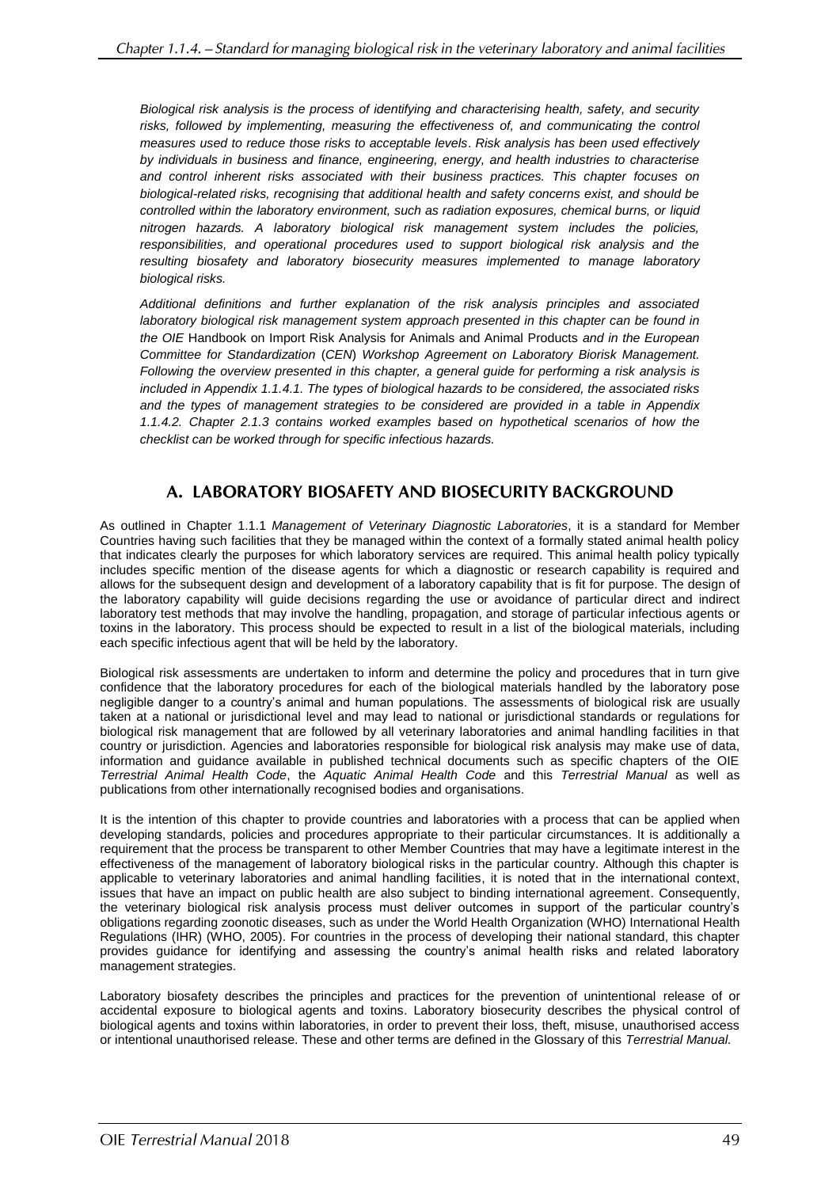*Biological risk analysis is the process of identifying and characterising health, safety, and security*  risks, followed by implementing, measuring the effectiveness of, and communicating the control *measures used to reduce those risks to acceptable levels*. *Risk analysis has been used effectively by individuals in business and finance, engineering, energy, and health industries to characterise and control inherent risks associated with their business practices. This chapter focuses on biological-related risks, recognising that additional health and safety concerns exist, and should be controlled within the laboratory environment, such as radiation exposures, chemical burns, or liquid nitrogen hazards. A laboratory biological risk management system includes the policies, responsibilities, and operational procedures used to support biological risk analysis and the resulting biosafety and laboratory biosecurity measures implemented to manage laboratory biological risks.* 

*Additional definitions and further explanation of the risk analysis principles and associated laboratory biological risk management system approach presented in this chapter can be found in the OIE* Handbook on Import Risk Analysis for Animals and Animal Products *and in the European Committee for Standardization* (*CEN*) *Workshop Agreement on Laboratory Biorisk Management. Following the overview presented in this chapter, a general guide for performing a risk analysis is included in Appendix 1.1.4.1. The types of biological hazards to be considered, the associated risks and the types of management strategies to be considered are provided in a table in Appendix 1.1.4.2. Chapter 2.1.3 contains worked examples based on hypothetical scenarios of how the checklist can be worked through for specific infectious hazards.*

# A. LABORATORY BIOSAFETY AND BIOSECURITY BACKGROUND

As outlined in Chapter 1.1.1 *Management of Veterinary Diagnostic Laboratories*, it is a standard for Member Countries having such facilities that they be managed within the context of a formally stated animal health policy that indicates clearly the purposes for which laboratory services are required. This animal health policy typically includes specific mention of the disease agents for which a diagnostic or research capability is required and allows for the subsequent design and development of a laboratory capability that is fit for purpose. The design of the laboratory capability will guide decisions regarding the use or avoidance of particular direct and indirect laboratory test methods that may involve the handling, propagation, and storage of particular infectious agents or toxins in the laboratory. This process should be expected to result in a list of the biological materials, including each specific infectious agent that will be held by the laboratory.

Biological risk assessments are undertaken to inform and determine the policy and procedures that in turn give confidence that the laboratory procedures for each of the biological materials handled by the laboratory pose negligible danger to a country's animal and human populations. The assessments of biological risk are usually taken at a national or jurisdictional level and may lead to national or jurisdictional standards or regulations for biological risk management that are followed by all veterinary laboratories and animal handling facilities in that country or jurisdiction. Agencies and laboratories responsible for biological risk analysis may make use of data, information and guidance available in published technical documents such as specific chapters of the OIE *Terrestrial Animal Health Code*, the *Aquatic Animal Health Code* and this *Terrestrial Manual* as well as publications from other internationally recognised bodies and organisations.

It is the intention of this chapter to provide countries and laboratories with a process that can be applied when developing standards, policies and procedures appropriate to their particular circumstances. It is additionally a requirement that the process be transparent to other Member Countries that may have a legitimate interest in the effectiveness of the management of laboratory biological risks in the particular country. Although this chapter is applicable to veterinary laboratories and animal handling facilities, it is noted that in the international context, issues that have an impact on public health are also subject to binding international agreement. Consequently, the veterinary biological risk analysis process must deliver outcomes in support of the particular country's obligations regarding zoonotic diseases, such as under the World Health Organization (WHO) International Health Regulations (IHR) (WHO, 2005). For countries in the process of developing their national standard, this chapter provides guidance for identifying and assessing the country's animal health risks and related laboratory management strategies.

Laboratory biosafety describes the principles and practices for the prevention of unintentional release of or accidental exposure to biological agents and toxins. Laboratory biosecurity describes the physical control of biological agents and toxins within laboratories, in order to prevent their loss, theft, misuse, unauthorised access or intentional unauthorised release. These and other terms are defined in the Glossary of this *Terrestrial Manual.*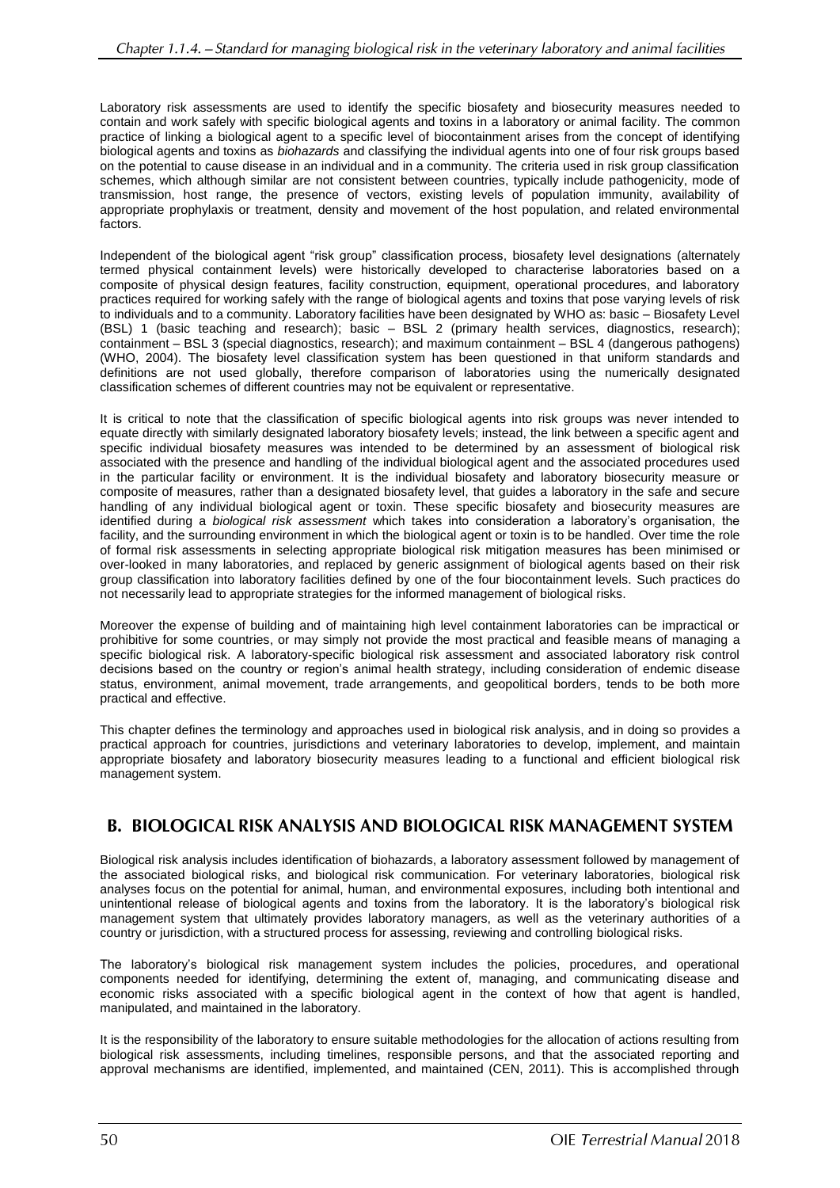Laboratory risk assessments are used to identify the specific biosafety and biosecurity measures needed to contain and work safely with specific biological agents and toxins in a laboratory or animal facility. The common practice of linking a biological agent to a specific level of biocontainment arises from the concept of identifying biological agents and toxins as *biohazards* and classifying the individual agents into one of four risk groups based on the potential to cause disease in an individual and in a community. The criteria used in risk group classification schemes, which although similar are not consistent between countries, typically include pathogenicity, mode of transmission, host range, the presence of vectors, existing levels of population immunity, availability of appropriate prophylaxis or treatment, density and movement of the host population, and related environmental factors.

Independent of the biological agent "risk group" classification process, biosafety level designations (alternately termed physical containment levels) were historically developed to characterise laboratories based on a composite of physical design features, facility construction, equipment, operational procedures, and laboratory practices required for working safely with the range of biological agents and toxins that pose varying levels of risk to individuals and to a community. Laboratory facilities have been designated by WHO as: basic – Biosafety Level (BSL) 1 (basic teaching and research); basic – BSL 2 (primary health services, diagnostics, research); containment – BSL 3 (special diagnostics, research); and maximum containment – BSL 4 (dangerous pathogens) (WHO, 2004). The biosafety level classification system has been questioned in that uniform standards and definitions are not used globally, therefore comparison of laboratories using the numerically designated classification schemes of different countries may not be equivalent or representative.

It is critical to note that the classification of specific biological agents into risk groups was never intended to equate directly with similarly designated laboratory biosafety levels; instead, the link between a specific agent and specific individual biosafety measures was intended to be determined by an assessment of biological risk associated with the presence and handling of the individual biological agent and the associated procedures used in the particular facility or environment. It is the individual biosafety and laboratory biosecurity measure or composite of measures, rather than a designated biosafety level, that guides a laboratory in the safe and secure handling of any individual biological agent or toxin. These specific biosafety and biosecurity measures are identified during a *biological risk assessment* which takes into consideration a laboratory's organisation, the facility, and the surrounding environment in which the biological agent or toxin is to be handled. Over time the role of formal risk assessments in selecting appropriate biological risk mitigation measures has been minimised or over-looked in many laboratories, and replaced by generic assignment of biological agents based on their risk group classification into laboratory facilities defined by one of the four biocontainment levels. Such practices do not necessarily lead to appropriate strategies for the informed management of biological risks.

Moreover the expense of building and of maintaining high level containment laboratories can be impractical or prohibitive for some countries, or may simply not provide the most practical and feasible means of managing a specific biological risk. A laboratory-specific biological risk assessment and associated laboratory risk control decisions based on the country or region's animal health strategy, including consideration of endemic disease status, environment, animal movement, trade arrangements, and geopolitical borders, tends to be both more practical and effective.

This chapter defines the terminology and approaches used in biological risk analysis, and in doing so provides a practical approach for countries, jurisdictions and veterinary laboratories to develop, implement, and maintain appropriate biosafety and laboratory biosecurity measures leading to a functional and efficient biological risk management system.

## **B. BIOLOGICAL RISK ANALYSIS AND BIOLOGICAL RISK MANAGEMENT SYSTEM**

Biological risk analysis includes identification of biohazards, a laboratory assessment followed by management of the associated biological risks, and biological risk communication. For veterinary laboratories, biological risk analyses focus on the potential for animal, human, and environmental exposures, including both intentional and unintentional release of biological agents and toxins from the laboratory. It is the laboratory's biological risk management system that ultimately provides laboratory managers, as well as the veterinary authorities of a country or jurisdiction, with a structured process for assessing, reviewing and controlling biological risks.

The laboratory's biological risk management system includes the policies, procedures, and operational components needed for identifying, determining the extent of, managing, and communicating disease and economic risks associated with a specific biological agent in the context of how that agent is handled, manipulated, and maintained in the laboratory.

It is the responsibility of the laboratory to ensure suitable methodologies for the allocation of actions resulting from biological risk assessments, including timelines, responsible persons, and that the associated reporting and approval mechanisms are identified, implemented, and maintained (CEN, 2011). This is accomplished through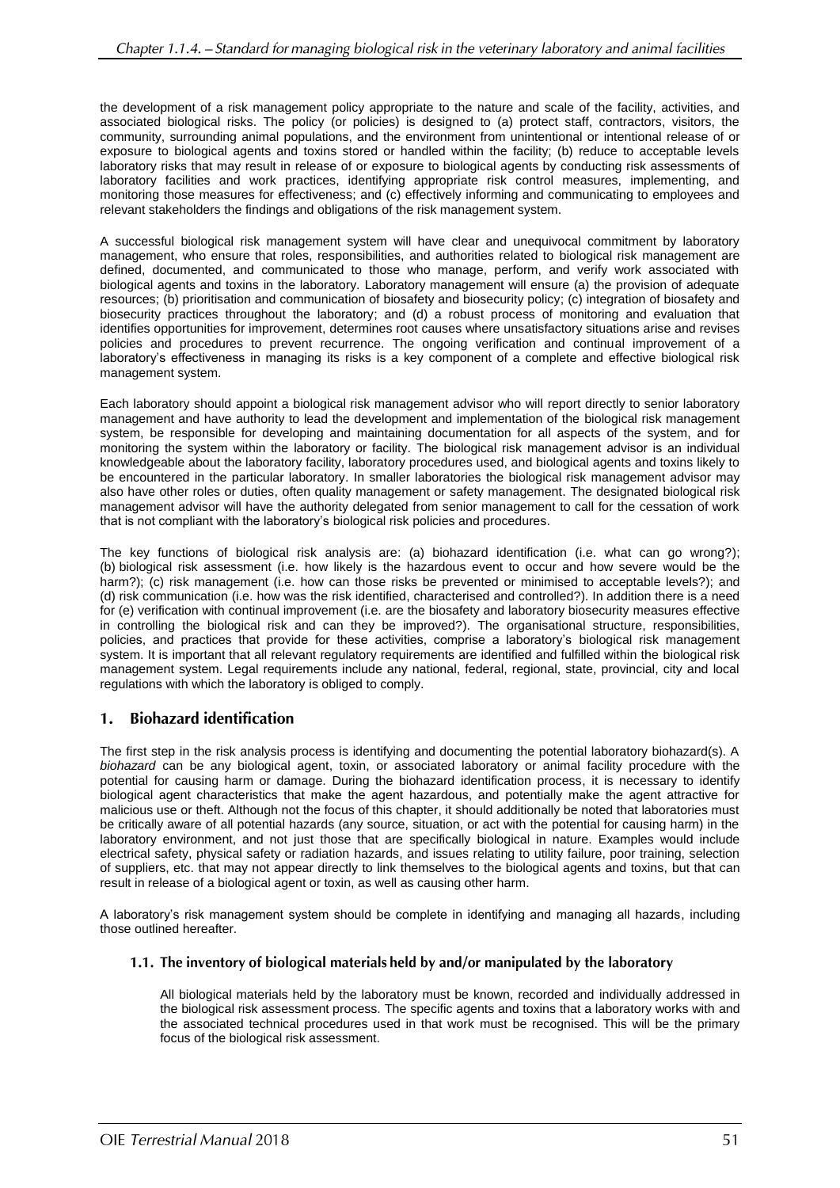the development of a risk management policy appropriate to the nature and scale of the facility, activities, and associated biological risks. The policy (or policies) is designed to (a) protect staff, contractors, visitors, the community, surrounding animal populations, and the environment from unintentional or intentional release of or exposure to biological agents and toxins stored or handled within the facility; (b) reduce to acceptable levels laboratory risks that may result in release of or exposure to biological agents by conducting risk assessments of laboratory facilities and work practices, identifying appropriate risk control measures, implementing, and monitoring those measures for effectiveness; and (c) effectively informing and communicating to employees and relevant stakeholders the findings and obligations of the risk management system.

A successful biological risk management system will have clear and unequivocal commitment by laboratory management, who ensure that roles, responsibilities, and authorities related to biological risk management are defined, documented, and communicated to those who manage, perform, and verify work associated with biological agents and toxins in the laboratory. Laboratory management will ensure (a) the provision of adequate resources; (b) prioritisation and communication of biosafety and biosecurity policy; (c) integration of biosafety and biosecurity practices throughout the laboratory; and (d) a robust process of monitoring and evaluation that identifies opportunities for improvement, determines root causes where unsatisfactory situations arise and revises policies and procedures to prevent recurrence. The ongoing verification and continual improvement of a laboratory's effectiveness in managing its risks is a key component of a complete and effective biological risk management system.

Each laboratory should appoint a biological risk management advisor who will report directly to senior laboratory management and have authority to lead the development and implementation of the biological risk management system, be responsible for developing and maintaining documentation for all aspects of the system, and for monitoring the system within the laboratory or facility. The biological risk management advisor is an individual knowledgeable about the laboratory facility, laboratory procedures used, and biological agents and toxins likely to be encountered in the particular laboratory. In smaller laboratories the biological risk management advisor may also have other roles or duties, often quality management or safety management. The designated biological risk management advisor will have the authority delegated from senior management to call for the cessation of work that is not compliant with the laboratory's biological risk policies and procedures.

The key functions of biological risk analysis are: (a) biohazard identification (i.e. what can go wrong?); (b) biological risk assessment (i.e. how likely is the hazardous event to occur and how severe would be the harm?); (c) risk management (i.e. how can those risks be prevented or minimised to acceptable levels?); and (d) risk communication (i.e. how was the risk identified, characterised and controlled?). In addition there is a need for (e) verification with continual improvement (i.e. are the biosafety and laboratory biosecurity measures effective in controlling the biological risk and can they be improved?). The organisational structure, responsibilities, policies, and practices that provide for these activities, comprise a laboratory's biological risk management system. It is important that all relevant regulatory requirements are identified and fulfilled within the biological risk management system. Legal requirements include any national, federal, regional, state, provincial, city and local regulations with which the laboratory is obliged to comply.

#### 1. **Biohazard identification**

The first step in the risk analysis process is identifying and documenting the potential laboratory biohazard(s). A *biohazard* can be any biological agent, toxin, or associated laboratory or animal facility procedure with the potential for causing harm or damage. During the biohazard identification process, it is necessary to identify biological agent characteristics that make the agent hazardous, and potentially make the agent attractive for malicious use or theft. Although not the focus of this chapter, it should additionally be noted that laboratories must be critically aware of all potential hazards (any source, situation, or act with the potential for causing harm) in the laboratory environment, and not just those that are specifically biological in nature. Examples would include electrical safety, physical safety or radiation hazards, and issues relating to utility failure, poor training, selection of suppliers, etc. that may not appear directly to link themselves to the biological agents and toxins, but that can result in release of a biological agent or toxin, as well as causing other harm.

A laboratory's risk management system should be complete in identifying and managing all hazards, including those outlined hereafter.

### 1.1. The inventory of biological materials held by and/or manipulated by the laboratory

All biological materials held by the laboratory must be known, recorded and individually addressed in the biological risk assessment process. The specific agents and toxins that a laboratory works with and the associated technical procedures used in that work must be recognised. This will be the primary focus of the biological risk assessment.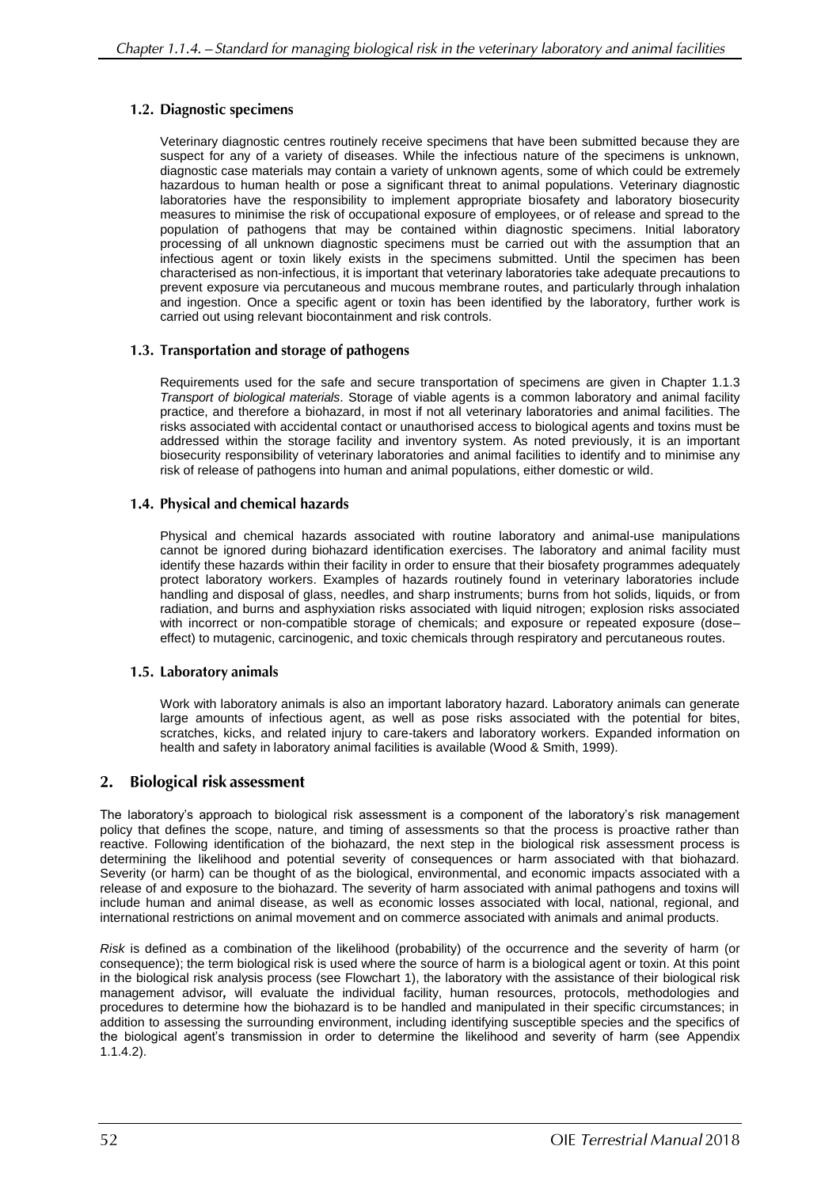### 1.2. Diagnostic specimens

Veterinary diagnostic centres routinely receive specimens that have been submitted because they are suspect for any of a variety of diseases. While the infectious nature of the specimens is unknown, diagnostic case materials may contain a variety of unknown agents, some of which could be extremely hazardous to human health or pose a significant threat to animal populations. Veterinary diagnostic laboratories have the responsibility to implement appropriate biosafety and laboratory biosecurity measures to minimise the risk of occupational exposure of employees, or of release and spread to the population of pathogens that may be contained within diagnostic specimens. Initial laboratory processing of all unknown diagnostic specimens must be carried out with the assumption that an infectious agent or toxin likely exists in the specimens submitted. Until the specimen has been characterised as non-infectious, it is important that veterinary laboratories take adequate precautions to prevent exposure via percutaneous and mucous membrane routes, and particularly through inhalation and ingestion. Once a specific agent or toxin has been identified by the laboratory, further work is carried out using relevant biocontainment and risk controls.

### 1.3. Transportation and storage of pathogens

Requirements used for the safe and secure transportation of specimens are given in Chapter 1.1.3 *Transport of biological materials*. Storage of viable agents is a common laboratory and animal facility practice, and therefore a biohazard, in most if not all veterinary laboratories and animal facilities. The risks associated with accidental contact or unauthorised access to biological agents and toxins must be addressed within the storage facility and inventory system. As noted previously, it is an important biosecurity responsibility of veterinary laboratories and animal facilities to identify and to minimise any risk of release of pathogens into human and animal populations, either domestic or wild.

### 1.4. Physical and chemical hazards

Physical and chemical hazards associated with routine laboratory and animal-use manipulations cannot be ignored during biohazard identification exercises. The laboratory and animal facility must identify these hazards within their facility in order to ensure that their biosafety programmes adequately protect laboratory workers. Examples of hazards routinely found in veterinary laboratories include handling and disposal of glass, needles, and sharp instruments; burns from hot solids, liquids, or from radiation, and burns and asphyxiation risks associated with liquid nitrogen; explosion risks associated with incorrect or non-compatible storage of chemicals; and exposure or repeated exposure (doseeffect) to mutagenic, carcinogenic, and toxic chemicals through respiratory and percutaneous routes.

### 1.5. Laboratory animals

Work with laboratory animals is also an important laboratory hazard. Laboratory animals can generate large amounts of infectious agent, as well as pose risks associated with the potential for bites, scratches, kicks, and related injury to care-takers and laboratory workers. Expanded information on health and safety in laboratory animal facilities is available (Wood & Smith, 1999).

#### $2.$ **Biological risk assessment**

The laboratory's approach to biological risk assessment is a component of the laboratory's risk management policy that defines the scope, nature, and timing of assessments so that the process is proactive rather than reactive. Following identification of the biohazard, the next step in the biological risk assessment process is determining the likelihood and potential severity of consequences or harm associated with that biohazard. Severity (or harm) can be thought of as the biological, environmental, and economic impacts associated with a release of and exposure to the biohazard. The severity of harm associated with animal pathogens and toxins will include human and animal disease, as well as economic losses associated with local, national, regional, and international restrictions on animal movement and on commerce associated with animals and animal products.

*Risk* is defined as a combination of the likelihood (probability) of the occurrence and the severity of harm (or consequence); the term biological risk is used where the source of harm is a biological agent or toxin. At this point in the biological risk analysis process (see Flowchart 1), the laboratory with the assistance of their biological risk management advisor*,* will evaluate the individual facility, human resources, protocols, methodologies and procedures to determine how the biohazard is to be handled and manipulated in their specific circumstances; in addition to assessing the surrounding environment, including identifying susceptible species and the specifics of the biological agent's transmission in order to determine the likelihood and severity of harm (see Appendix 1.1.4.2).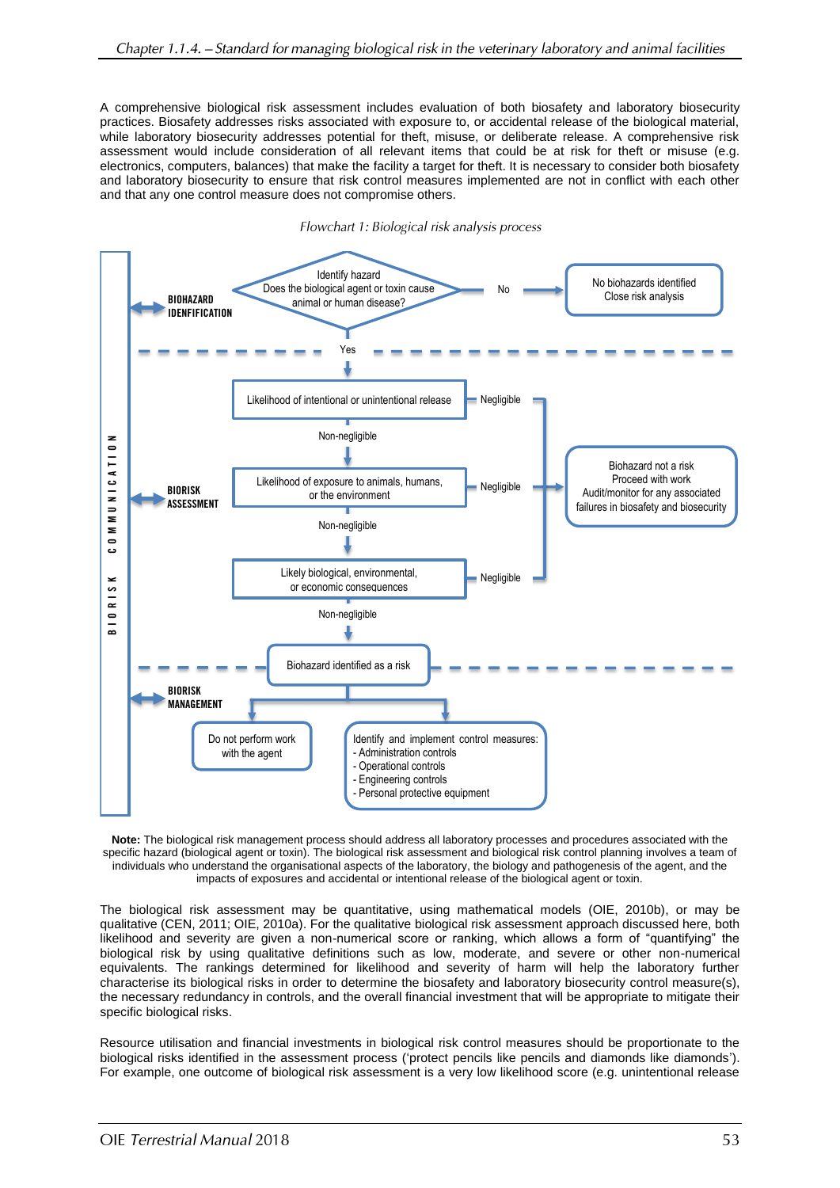A comprehensive biological risk assessment includes evaluation of both biosafety and laboratory biosecurity practices. Biosafety addresses risks associated with exposure to, or accidental release of the biological material, while laboratory biosecurity addresses potential for theft, misuse, or deliberate release. A comprehensive risk assessment would include consideration of all relevant items that could be at risk for theft or misuse (e.g. electronics, computers, balances) that make the facility a target for theft. It is necessary to consider both biosafety and laboratory biosecurity to ensure that risk control measures implemented are not in conflict with each other and that any one control measure does not compromise others.



Flowchart 1: Biological risk analysis process

**Note:** The biological risk management process should address all laboratory processes and procedures associated with the specific hazard (biological agent or toxin). The biological risk assessment and biological risk control planning involves a team of individuals who understand the organisational aspects of the laboratory, the biology and pathogenesis of the agent, and the impacts of exposures and accidental or intentional release of the biological agent or toxin.

The biological risk assessment may be quantitative, using mathematical models (OIE, 2010b), or may be qualitative (CEN, 2011; OIE, 2010a). For the qualitative biological risk assessment approach discussed here, both likelihood and severity are given a non-numerical score or ranking, which allows a form of "quantifying" the biological risk by using qualitative definitions such as low, moderate, and severe or other non-numerical equivalents. The rankings determined for likelihood and severity of harm will help the laboratory further characterise its biological risks in order to determine the biosafety and laboratory biosecurity control measure(s), the necessary redundancy in controls, and the overall financial investment that will be appropriate to mitigate their specific biological risks.

Resource utilisation and financial investments in biological risk control measures should be proportionate to the biological risks identified in the assessment process ('protect pencils like pencils and diamonds like diamonds'). For example, one outcome of biological risk assessment is a very low likelihood score (e.g. unintentional release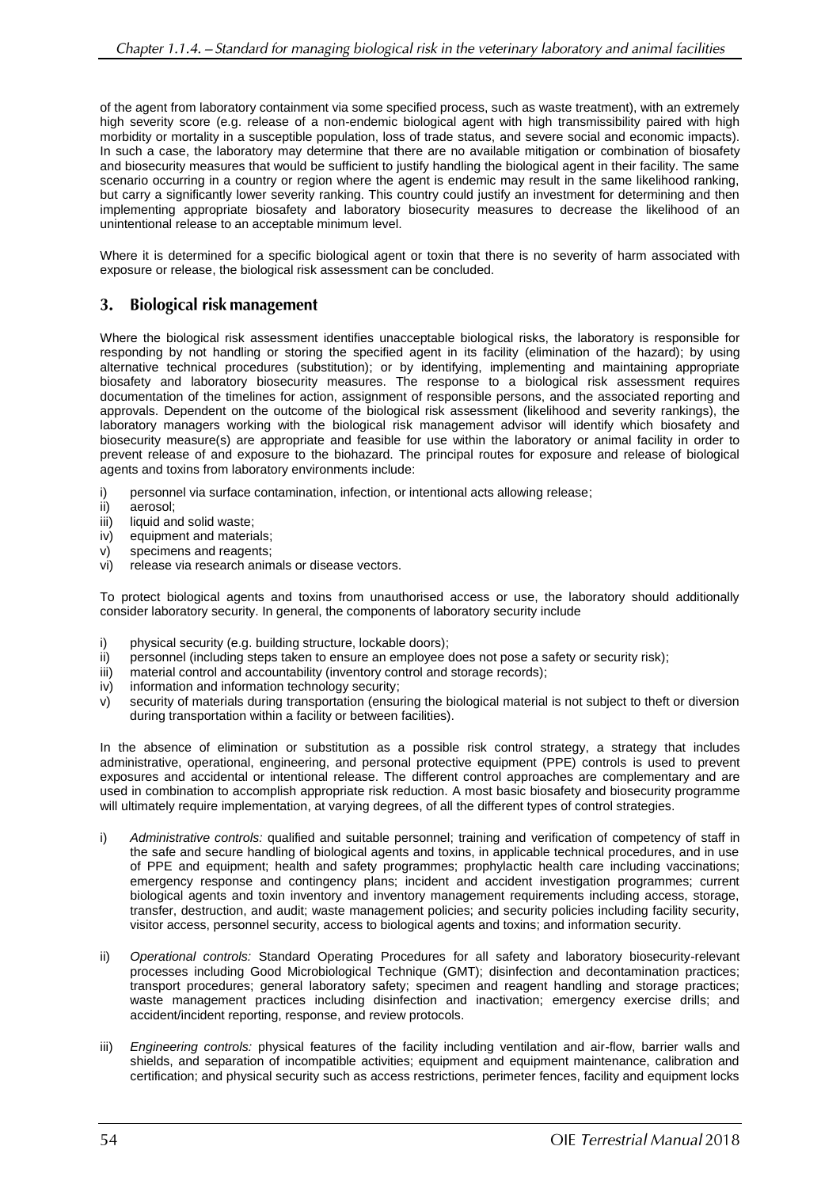of the agent from laboratory containment via some specified process, such as waste treatment), with an extremely high severity score (e.g. release of a non-endemic biological agent with high transmissibility paired with high morbidity or mortality in a susceptible population, loss of trade status, and severe social and economic impacts). In such a case, the laboratory may determine that there are no available mitigation or combination of biosafety and biosecurity measures that would be sufficient to justify handling the biological agent in their facility. The same scenario occurring in a country or region where the agent is endemic may result in the same likelihood ranking, but carry a significantly lower severity ranking. This country could justify an investment for determining and then implementing appropriate biosafety and laboratory biosecurity measures to decrease the likelihood of an unintentional release to an acceptable minimum level.

Where it is determined for a specific biological agent or toxin that there is no severity of harm associated with exposure or release, the biological risk assessment can be concluded.

#### <sup>3.</sup> **Biological risk management**

Where the biological risk assessment identifies unacceptable biological risks, the laboratory is responsible for responding by not handling or storing the specified agent in its facility (elimination of the hazard); by using alternative technical procedures (substitution); or by identifying, implementing and maintaining appropriate biosafety and laboratory biosecurity measures. The response to a biological risk assessment requires documentation of the timelines for action, assignment of responsible persons, and the associated reporting and approvals. Dependent on the outcome of the biological risk assessment (likelihood and severity rankings), the laboratory managers working with the biological risk management advisor will identify which biosafety and biosecurity measure(s) are appropriate and feasible for use within the laboratory or animal facility in order to prevent release of and exposure to the biohazard. The principal routes for exposure and release of biological agents and toxins from laboratory environments include:

- i) personnel via surface contamination, infection, or intentional acts allowing release;<br>ii) aerosol;
- aerosol:
- iii) liquid and solid waste;<br>iv) equipment and materia
- iv) equipment and materials;<br>v) specimens and reagents:
- specimens and reagents;
- vi) release via research animals or disease vectors.

To protect biological agents and toxins from unauthorised access or use, the laboratory should additionally consider laboratory security. In general, the components of laboratory security include

- i) physical security (e.g. building structure, lockable doors);
- ii) personnel (including steps taken to ensure an employee does not pose a safety or security risk);
- iii) material control and accountability (inventory control and storage records);
- iv) information and information technology security;<br>v) security of materials during transportation (ensu
- security of materials during transportation (ensuring the biological material is not subject to theft or diversion during transportation within a facility or between facilities).

In the absence of elimination or substitution as a possible risk control strategy, a strategy that includes administrative, operational, engineering, and personal protective equipment (PPE) controls is used to prevent exposures and accidental or intentional release. The different control approaches are complementary and are used in combination to accomplish appropriate risk reduction. A most basic biosafety and biosecurity programme will ultimately require implementation, at varying degrees, of all the different types of control strategies.

- i) *Administrative controls:* qualified and suitable personnel; training and verification of competency of staff in the safe and secure handling of biological agents and toxins, in applicable technical procedures, and in use of PPE and equipment; health and safety programmes; prophylactic health care including vaccinations; emergency response and contingency plans; incident and accident investigation programmes; current biological agents and toxin inventory and inventory management requirements including access, storage, transfer, destruction, and audit; waste management policies; and security policies including facility security, visitor access, personnel security, access to biological agents and toxins; and information security.
- ii) *Operational controls:* Standard Operating Procedures for all safety and laboratory biosecurity-relevant processes including Good Microbiological Technique (GMT); disinfection and decontamination practices; transport procedures; general laboratory safety; specimen and reagent handling and storage practices; waste management practices including disinfection and inactivation; emergency exercise drills; and accident/incident reporting, response, and review protocols.
- iii) *Engineering controls:* physical features of the facility including ventilation and air-flow, barrier walls and shields, and separation of incompatible activities; equipment and equipment maintenance, calibration and certification; and physical security such as access restrictions, perimeter fences, facility and equipment locks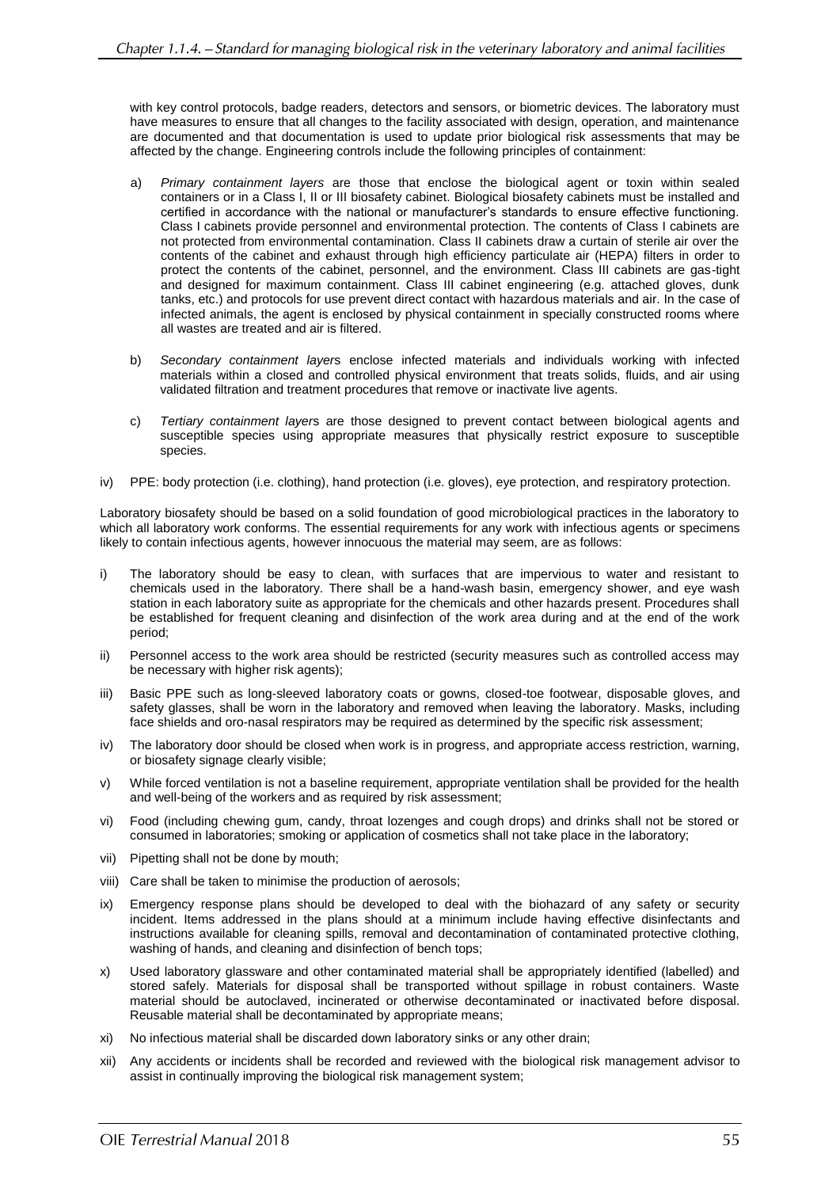with key control protocols, badge readers, detectors and sensors, or biometric devices. The laboratory must have measures to ensure that all changes to the facility associated with design, operation, and maintenance are documented and that documentation is used to update prior biological risk assessments that may be affected by the change. Engineering controls include the following principles of containment:

- a) *Primary containment layers* are those that enclose the biological agent or toxin within sealed containers or in a Class I, II or III biosafety cabinet. Biological biosafety cabinets must be installed and certified in accordance with the national or manufacturer's standards to ensure effective functioning. Class I cabinets provide personnel and environmental protection. The contents of Class I cabinets are not protected from environmental contamination. Class II cabinets draw a curtain of sterile air over the contents of the cabinet and exhaust through high efficiency particulate air (HEPA) filters in order to protect the contents of the cabinet, personnel, and the environment. Class III cabinets are gas-tight and designed for maximum containment. Class III cabinet engineering (e.g. attached gloves, dunk tanks, etc.) and protocols for use prevent direct contact with hazardous materials and air. In the case of infected animals, the agent is enclosed by physical containment in specially constructed rooms where all wastes are treated and air is filtered.
- b) *Secondary containment layer*s enclose infected materials and individuals working with infected materials within a closed and controlled physical environment that treats solids, fluids, and air using validated filtration and treatment procedures that remove or inactivate live agents.
- c) *Tertiary containment layer*s are those designed to prevent contact between biological agents and susceptible species using appropriate measures that physically restrict exposure to susceptible species.
- iv) PPE: body protection (i.e. clothing), hand protection (i.e. gloves), eye protection, and respiratory protection.

Laboratory biosafety should be based on a solid foundation of good microbiological practices in the laboratory to which all laboratory work conforms. The essential requirements for any work with infectious agents or specimens likely to contain infectious agents, however innocuous the material may seem, are as follows:

- i) The laboratory should be easy to clean, with surfaces that are impervious to water and resistant to chemicals used in the laboratory. There shall be a hand-wash basin, emergency shower, and eye wash station in each laboratory suite as appropriate for the chemicals and other hazards present. Procedures shall be established for frequent cleaning and disinfection of the work area during and at the end of the work period;
- ii) Personnel access to the work area should be restricted (security measures such as controlled access may be necessary with higher risk agents);
- iii) Basic PPE such as long-sleeved laboratory coats or gowns, closed-toe footwear, disposable gloves, and safety glasses, shall be worn in the laboratory and removed when leaving the laboratory. Masks, including face shields and oro-nasal respirators may be required as determined by the specific risk assessment;
- iv) The laboratory door should be closed when work is in progress, and appropriate access restriction, warning, or biosafety signage clearly visible;
- v) While forced ventilation is not a baseline requirement, appropriate ventilation shall be provided for the health and well-being of the workers and as required by risk assessment;
- vi) Food (including chewing gum, candy, throat lozenges and cough drops) and drinks shall not be stored or consumed in laboratories; smoking or application of cosmetics shall not take place in the laboratory;
- vii) Pipetting shall not be done by mouth;
- viii) Care shall be taken to minimise the production of aerosols;
- ix) Emergency response plans should be developed to deal with the biohazard of any safety or security incident. Items addressed in the plans should at a minimum include having effective disinfectants and instructions available for cleaning spills, removal and decontamination of contaminated protective clothing, washing of hands, and cleaning and disinfection of bench tops;
- x) Used laboratory glassware and other contaminated material shall be appropriately identified (labelled) and stored safely. Materials for disposal shall be transported without spillage in robust containers. Waste material should be autoclaved, incinerated or otherwise decontaminated or inactivated before disposal. Reusable material shall be decontaminated by appropriate means;
- xi) No infectious material shall be discarded down laboratory sinks or any other drain;
- xii) Any accidents or incidents shall be recorded and reviewed with the biological risk management advisor to assist in continually improving the biological risk management system;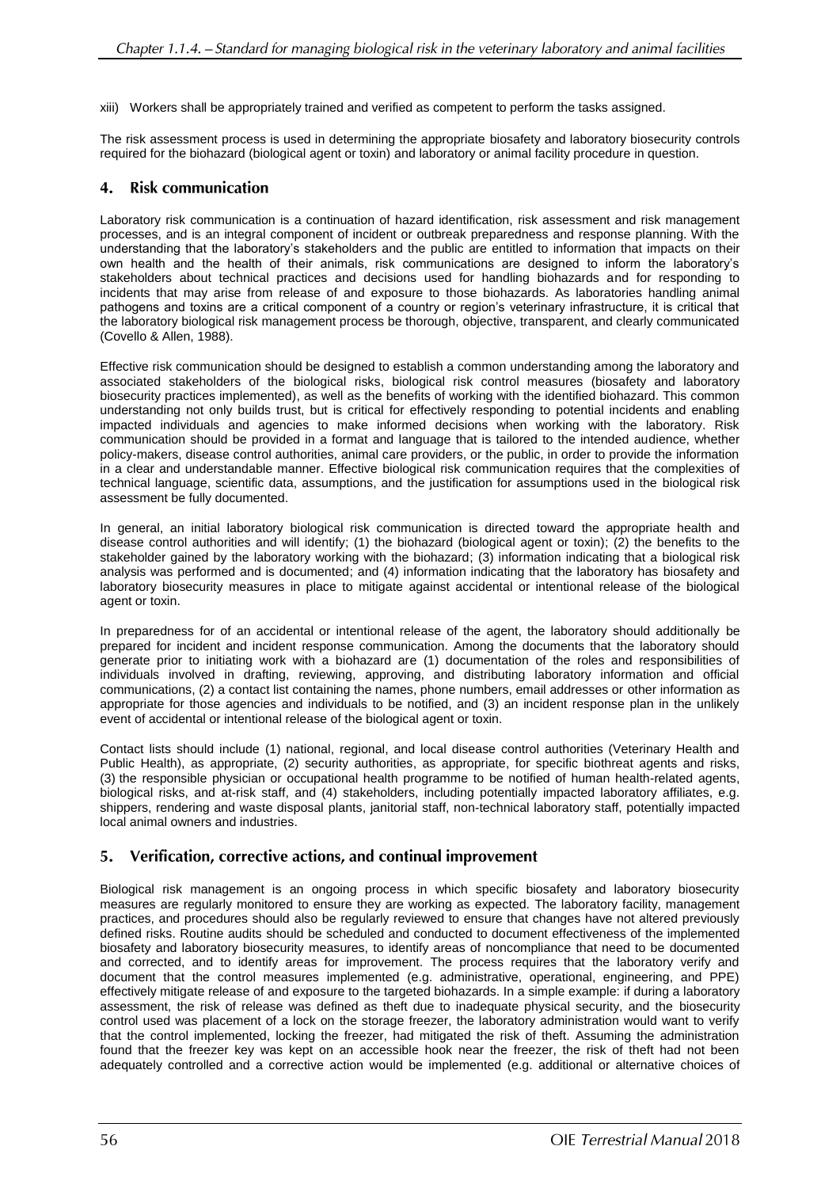xiii) Workers shall be appropriately trained and verified as competent to perform the tasks assigned.

The risk assessment process is used in determining the appropriate biosafety and laboratory biosecurity controls required for the biohazard (biological agent or toxin) and laboratory or animal facility procedure in question.

#### $\boldsymbol{4}$ . **Risk communication**

Laboratory risk communication is a continuation of hazard identification, risk assessment and risk management processes, and is an integral component of incident or outbreak preparedness and response planning. With the understanding that the laboratory's stakeholders and the public are entitled to information that impacts on their own health and the health of their animals, risk communications are designed to inform the laboratory's stakeholders about technical practices and decisions used for handling biohazards and for responding to incidents that may arise from release of and exposure to those biohazards. As laboratories handling animal pathogens and toxins are a critical component of a country or region's veterinary infrastructure, it is critical that the laboratory biological risk management process be thorough, objective, transparent, and clearly communicated (Covello & Allen, 1988).

Effective risk communication should be designed to establish a common understanding among the laboratory and associated stakeholders of the biological risks, biological risk control measures (biosafety and laboratory biosecurity practices implemented), as well as the benefits of working with the identified biohazard. This common understanding not only builds trust, but is critical for effectively responding to potential incidents and enabling impacted individuals and agencies to make informed decisions when working with the laboratory. Risk communication should be provided in a format and language that is tailored to the intended audience, whether policy-makers, disease control authorities, animal care providers, or the public, in order to provide the information in a clear and understandable manner. Effective biological risk communication requires that the complexities of technical language, scientific data, assumptions, and the justification for assumptions used in the biological risk assessment be fully documented.

In general, an initial laboratory biological risk communication is directed toward the appropriate health and disease control authorities and will identify; (1) the biohazard (biological agent or toxin); (2) the benefits to the stakeholder gained by the laboratory working with the biohazard; (3) information indicating that a biological risk analysis was performed and is documented; and (4) information indicating that the laboratory has biosafety and laboratory biosecurity measures in place to mitigate against accidental or intentional release of the biological agent or toxin.

In preparedness for of an accidental or intentional release of the agent, the laboratory should additionally be prepared for incident and incident response communication. Among the documents that the laboratory should generate prior to initiating work with a biohazard are (1) documentation of the roles and responsibilities of individuals involved in drafting, reviewing, approving, and distributing laboratory information and official communications, (2) a contact list containing the names, phone numbers, email addresses or other information as appropriate for those agencies and individuals to be notified, and (3) an incident response plan in the unlikely event of accidental or intentional release of the biological agent or toxin.

Contact lists should include (1) national, regional, and local disease control authorities (Veterinary Health and Public Health), as appropriate, (2) security authorities, as appropriate, for specific biothreat agents and risks, (3) the responsible physician or occupational health programme to be notified of human health-related agents, biological risks, and at-risk staff, and (4) stakeholders, including potentially impacted laboratory affiliates, e.g. shippers, rendering and waste disposal plants, janitorial staff, non-technical laboratory staff, potentially impacted local animal owners and industries.

#### 5. Verification, corrective actions, and continual improvement

Biological risk management is an ongoing process in which specific biosafety and laboratory biosecurity measures are regularly monitored to ensure they are working as expected. The laboratory facility, management practices, and procedures should also be regularly reviewed to ensure that changes have not altered previously defined risks. Routine audits should be scheduled and conducted to document effectiveness of the implemented biosafety and laboratory biosecurity measures, to identify areas of noncompliance that need to be documented and corrected, and to identify areas for improvement. The process requires that the laboratory verify and document that the control measures implemented (e.g. administrative, operational, engineering, and PPE) effectively mitigate release of and exposure to the targeted biohazards. In a simple example: if during a laboratory assessment, the risk of release was defined as theft due to inadequate physical security, and the biosecurity control used was placement of a lock on the storage freezer, the laboratory administration would want to verify that the control implemented, locking the freezer, had mitigated the risk of theft. Assuming the administration found that the freezer key was kept on an accessible hook near the freezer, the risk of theft had not been adequately controlled and a corrective action would be implemented (e.g. additional or alternative choices of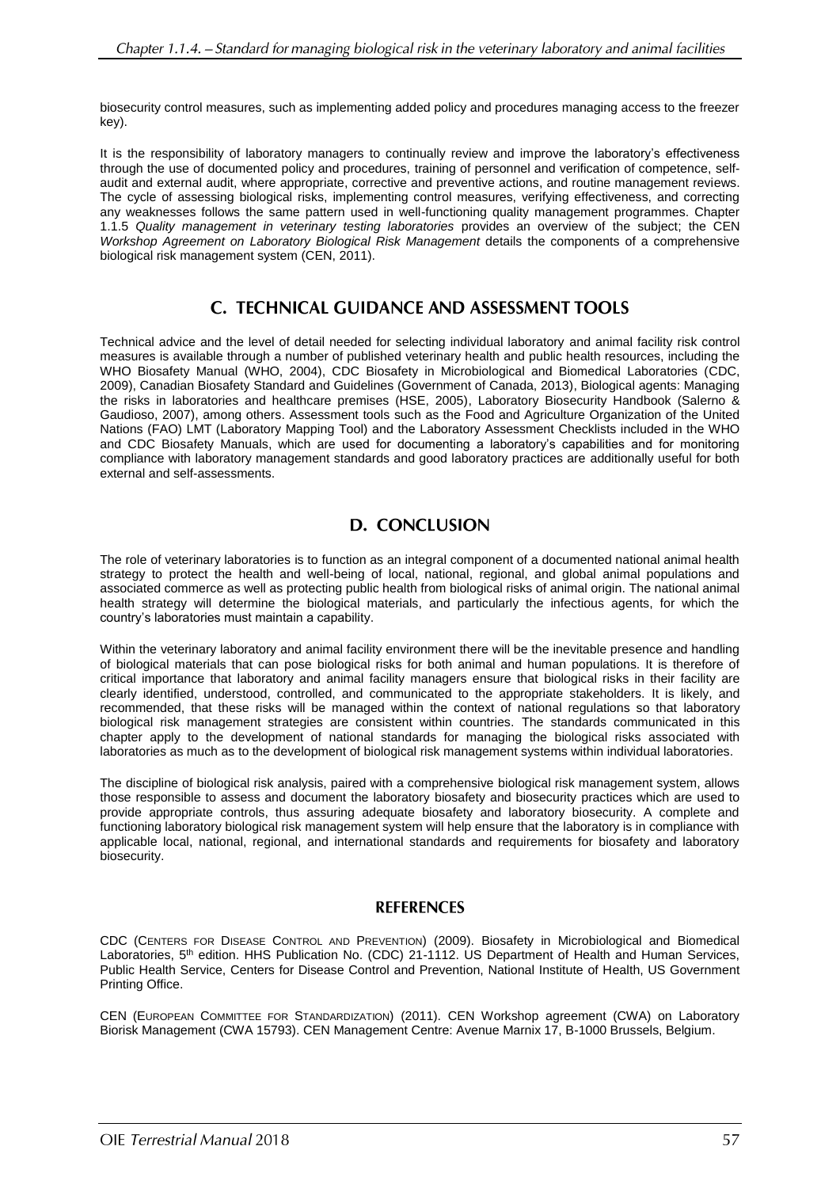biosecurity control measures, such as implementing added policy and procedures managing access to the freezer key).

It is the responsibility of laboratory managers to continually review and improve the laboratory's effectiveness through the use of documented policy and procedures, training of personnel and verification of competence, selfaudit and external audit, where appropriate, corrective and preventive actions, and routine management reviews. The cycle of assessing biological risks, implementing control measures, verifying effectiveness, and correcting any weaknesses follows the same pattern used in well-functioning quality management programmes. Chapter 1.1.5 *Quality management in veterinary testing laboratories* provides an overview of the subject; the CEN *Workshop Agreement on Laboratory Biological Risk Management* details the components of a comprehensive biological risk management system (CEN, 2011).

## C. TECHNICAL GUIDANCE AND ASSESSMENT TOOLS

Technical advice and the level of detail needed for selecting individual laboratory and animal facility risk control measures is available through a number of published veterinary health and public health resources, including the WHO Biosafety Manual (WHO, 2004), CDC Biosafety in Microbiological and Biomedical Laboratories (CDC, 2009), Canadian Biosafety Standard and Guidelines (Government of Canada, 2013), Biological agents: Managing the risks in laboratories and healthcare premises (HSE, 2005), Laboratory Biosecurity Handbook (Salerno & Gaudioso, 2007), among others. Assessment tools such as the Food and Agriculture Organization of the United Nations (FAO) LMT (Laboratory Mapping Tool) and the Laboratory Assessment Checklists included in the WHO and CDC Biosafety Manuals, which are used for documenting a laboratory's capabilities and for monitoring compliance with laboratory management standards and good laboratory practices are additionally useful for both external and self-assessments.

## D. CONCLUSION

The role of veterinary laboratories is to function as an integral component of a documented national animal health strategy to protect the health and well-being of local, national, regional, and global animal populations and associated commerce as well as protecting public health from biological risks of animal origin. The national animal health strategy will determine the biological materials, and particularly the infectious agents, for which the country's laboratories must maintain a capability.

Within the veterinary laboratory and animal facility environment there will be the inevitable presence and handling of biological materials that can pose biological risks for both animal and human populations. It is therefore of critical importance that laboratory and animal facility managers ensure that biological risks in their facility are clearly identified, understood, controlled, and communicated to the appropriate stakeholders. It is likely, and recommended, that these risks will be managed within the context of national regulations so that laboratory biological risk management strategies are consistent within countries. The standards communicated in this chapter apply to the development of national standards for managing the biological risks associated with laboratories as much as to the development of biological risk management systems within individual laboratories.

The discipline of biological risk analysis, paired with a comprehensive biological risk management system, allows those responsible to assess and document the laboratory biosafety and biosecurity practices which are used to provide appropriate controls, thus assuring adequate biosafety and laboratory biosecurity. A complete and functioning laboratory biological risk management system will help ensure that the laboratory is in compliance with applicable local, national, regional, and international standards and requirements for biosafety and laboratory biosecurity.

### **REFERENCES**

CDC (CENTERS FOR DISEASE CONTROL AND PREVENTION) (2009). Biosafety in Microbiological and Biomedical Laboratories, 5<sup>th</sup> edition. HHS Publication No. (CDC) 21-1112. US Department of Health and Human Services, Public Health Service, Centers for Disease Control and Prevention, National Institute of Health, US Government Printing Office.

CEN (EUROPEAN COMMITTEE FOR STANDARDIZATION) (2011). CEN Workshop agreement (CWA) on Laboratory Biorisk Management (CWA 15793). CEN Management Centre: Avenue Marnix 17, B-1000 Brussels, Belgium.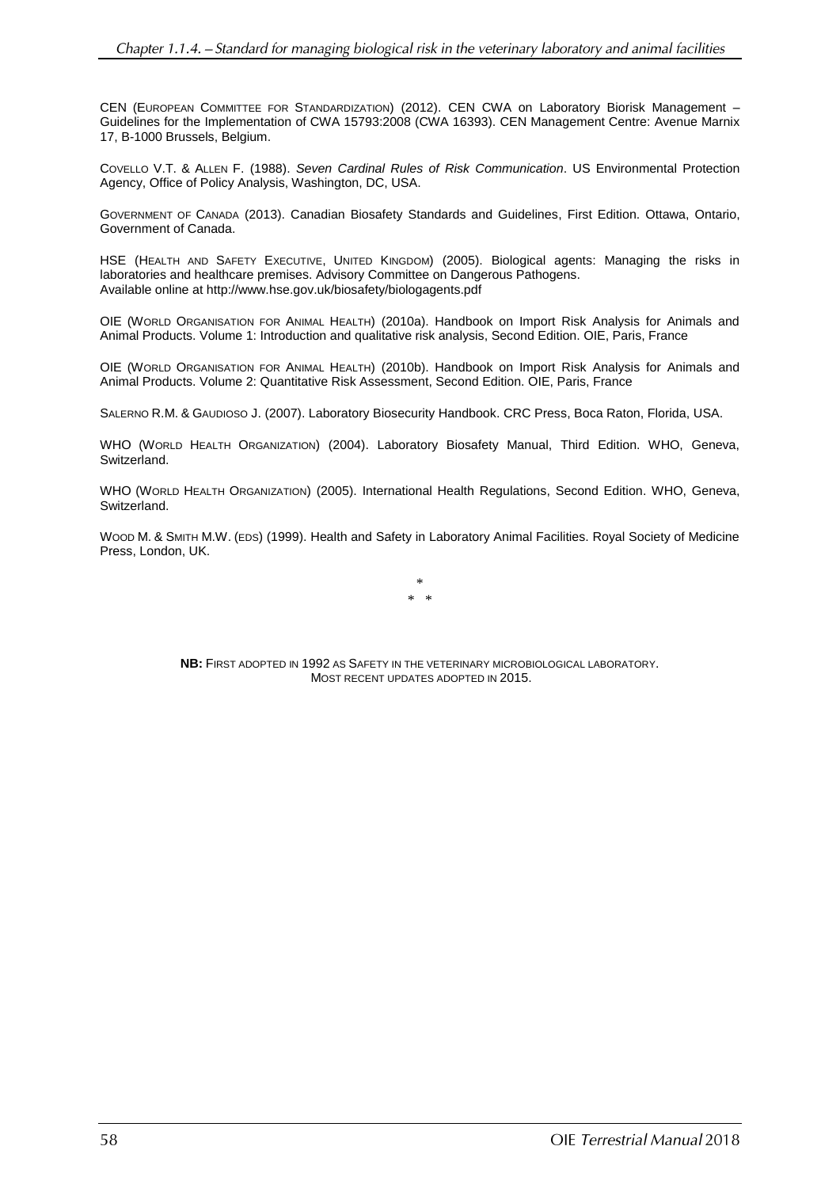CEN (EUROPEAN COMMITTEE FOR STANDARDIZATION) (2012). CEN CWA on Laboratory Biorisk Management – Guidelines for the Implementation of CWA 15793:2008 (CWA 16393). CEN Management Centre: Avenue Marnix 17, B-1000 Brussels, Belgium.

COVELLO V.T. & ALLEN F. (1988). *Seven Cardinal Rules of Risk Communication*. US Environmental Protection Agency, Office of Policy Analysis, Washington, DC, USA.

GOVERNMENT OF CANADA (2013). Canadian Biosafety Standards and Guidelines, First Edition. Ottawa, Ontario, Government of Canada.

HSE (HEALTH AND SAFETY EXECUTIVE, UNITED KINGDOM) (2005). Biological agents: Managing the risks in laboratories and healthcare premises. Advisory Committee on Dangerous Pathogens. Available online at http://www.hse.gov.uk/biosafety/biologagents.pdf

OIE (WORLD ORGANISATION FOR ANIMAL HEALTH) (2010a). Handbook on Import Risk Analysis for Animals and Animal Products. Volume 1: Introduction and qualitative risk analysis, Second Edition. OIE, Paris, France

OIE (WORLD ORGANISATION FOR ANIMAL HEALTH) (2010b). Handbook on Import Risk Analysis for Animals and Animal Products. Volume 2: Quantitative Risk Assessment, Second Edition. OIE, Paris, France

SALERNO R.M. & GAUDIOSO J. (2007). Laboratory Biosecurity Handbook. CRC Press, Boca Raton, Florida, USA.

WHO (WORLD HEALTH ORGANIZATION) (2004). Laboratory Biosafety Manual, Third Edition. WHO, Geneva, Switzerland.

WHO (WORLD HEALTH ORGANIZATION) (2005). International Health Regulations, Second Edition. WHO, Geneva, **Switzerland** 

WOOD M. & SMITH M.W. (EDS) (1999). Health and Safety in Laboratory Animal Facilities. Royal Society of Medicine Press, London, UK.

> \* \* \*

**NB:** FIRST ADOPTED IN 1992 AS SAFETY IN THE VETERINARY MICROBIOLOGICAL LABORATORY. MOST RECENT UPDATES ADOPTED IN 2015.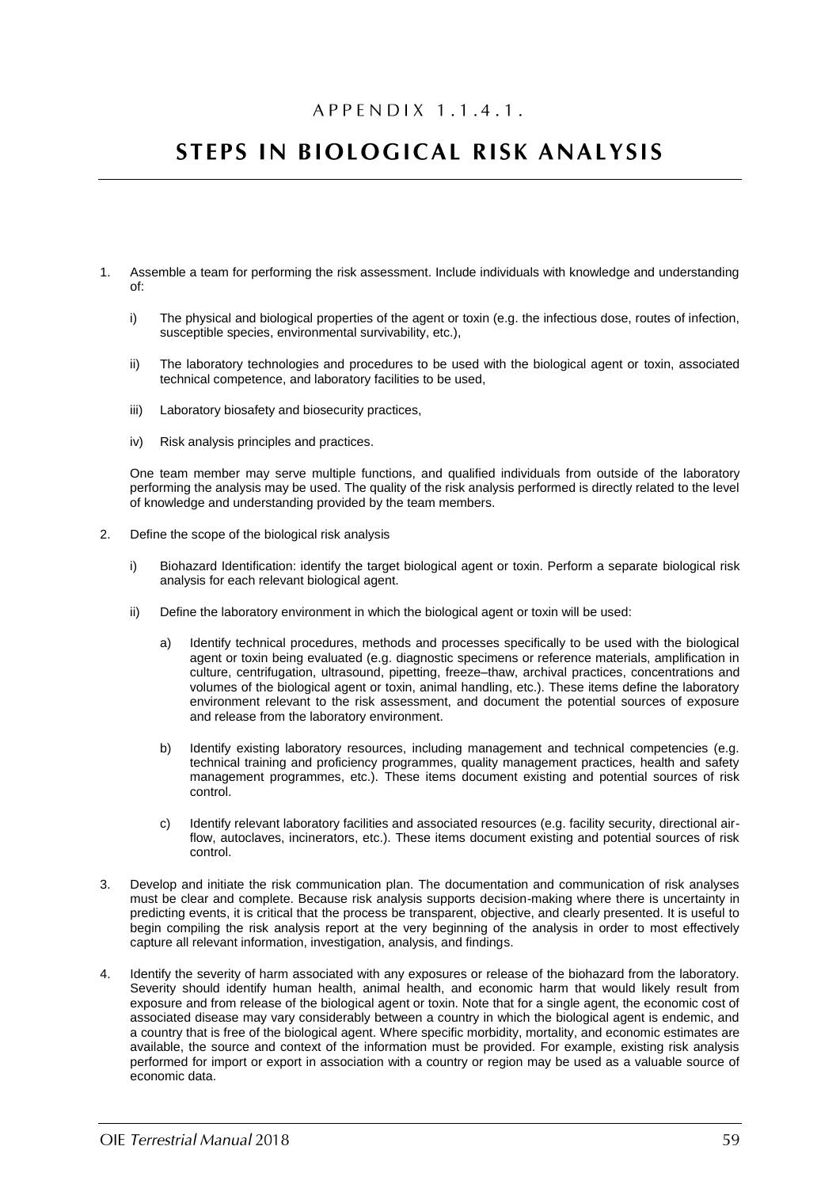# APPENDIX 1.1.4.1.

# STEPS IN BIOLOGICAL RISK ANALYSIS

- 1. Assemble a team for performing the risk assessment. Include individuals with knowledge and understanding of:
	- i) The physical and biological properties of the agent or toxin (e.g. the infectious dose, routes of infection, susceptible species, environmental survivability, etc.),
	- ii) The laboratory technologies and procedures to be used with the biological agent or toxin, associated technical competence, and laboratory facilities to be used,
	- iii) Laboratory biosafety and biosecurity practices,
	- iv) Risk analysis principles and practices.

One team member may serve multiple functions, and qualified individuals from outside of the laboratory performing the analysis may be used. The quality of the risk analysis performed is directly related to the level of knowledge and understanding provided by the team members.

- 2. Define the scope of the biological risk analysis
	- i) Biohazard Identification: identify the target biological agent or toxin. Perform a separate biological risk analysis for each relevant biological agent.
	- ii) Define the laboratory environment in which the biological agent or toxin will be used:
		- a) Identify technical procedures, methods and processes specifically to be used with the biological agent or toxin being evaluated (e.g. diagnostic specimens or reference materials, amplification in culture, centrifugation, ultrasound, pipetting, freeze–thaw, archival practices, concentrations and volumes of the biological agent or toxin, animal handling, etc.). These items define the laboratory environment relevant to the risk assessment, and document the potential sources of exposure and release from the laboratory environment.
		- b) Identify existing laboratory resources, including management and technical competencies (e.g. technical training and proficiency programmes, quality management practices, health and safety management programmes, etc.). These items document existing and potential sources of risk control.
		- c) Identify relevant laboratory facilities and associated resources (e.g. facility security, directional airflow, autoclaves, incinerators, etc.). These items document existing and potential sources of risk control.
- 3. Develop and initiate the risk communication plan. The documentation and communication of risk analyses must be clear and complete. Because risk analysis supports decision-making where there is uncertainty in predicting events, it is critical that the process be transparent, objective, and clearly presented. It is useful to begin compiling the risk analysis report at the very beginning of the analysis in order to most effectively capture all relevant information, investigation, analysis, and findings.
- 4. Identify the severity of harm associated with any exposures or release of the biohazard from the laboratory. Severity should identify human health, animal health, and economic harm that would likely result from exposure and from release of the biological agent or toxin. Note that for a single agent, the economic cost of associated disease may vary considerably between a country in which the biological agent is endemic, and a country that is free of the biological agent. Where specific morbidity, mortality, and economic estimates are available, the source and context of the information must be provided. For example, existing risk analysis performed for import or export in association with a country or region may be used as a valuable source of economic data.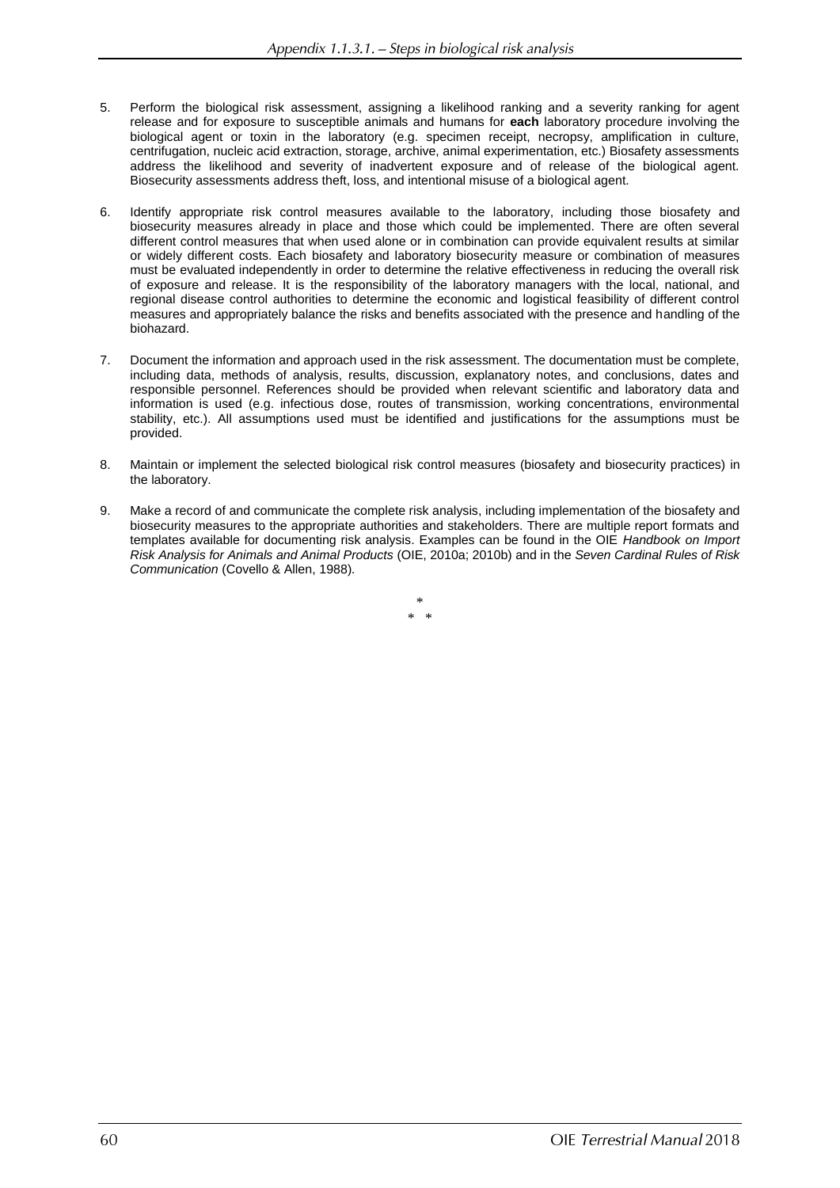- 5. Perform the biological risk assessment, assigning a likelihood ranking and a severity ranking for agent release and for exposure to susceptible animals and humans for **each** laboratory procedure involving the biological agent or toxin in the laboratory (e.g. specimen receipt, necropsy, amplification in culture, centrifugation, nucleic acid extraction, storage, archive, animal experimentation, etc.) Biosafety assessments address the likelihood and severity of inadvertent exposure and of release of the biological agent. Biosecurity assessments address theft, loss, and intentional misuse of a biological agent.
- 6. Identify appropriate risk control measures available to the laboratory, including those biosafety and biosecurity measures already in place and those which could be implemented. There are often several different control measures that when used alone or in combination can provide equivalent results at similar or widely different costs. Each biosafety and laboratory biosecurity measure or combination of measures must be evaluated independently in order to determine the relative effectiveness in reducing the overall risk of exposure and release. It is the responsibility of the laboratory managers with the local, national, and regional disease control authorities to determine the economic and logistical feasibility of different control measures and appropriately balance the risks and benefits associated with the presence and handling of the biohazard.
- 7. Document the information and approach used in the risk assessment. The documentation must be complete, including data, methods of analysis, results, discussion, explanatory notes, and conclusions, dates and responsible personnel. References should be provided when relevant scientific and laboratory data and information is used (e.g. infectious dose, routes of transmission, working concentrations, environmental stability, etc.). All assumptions used must be identified and justifications for the assumptions must be provided.
- 8. Maintain or implement the selected biological risk control measures (biosafety and biosecurity practices) in the laboratory.
- 9. Make a record of and communicate the complete risk analysis, including implementation of the biosafety and biosecurity measures to the appropriate authorities and stakeholders. There are multiple report formats and templates available for documenting risk analysis. Examples can be found in the OIE *Handbook on Import Risk Analysis for Animals and Animal Products* (OIE, 2010a; 2010b) and in the *Seven Cardinal Rules of Risk Communication* (Covello & Allen, 1988)*.*

\*  $\ddotmark$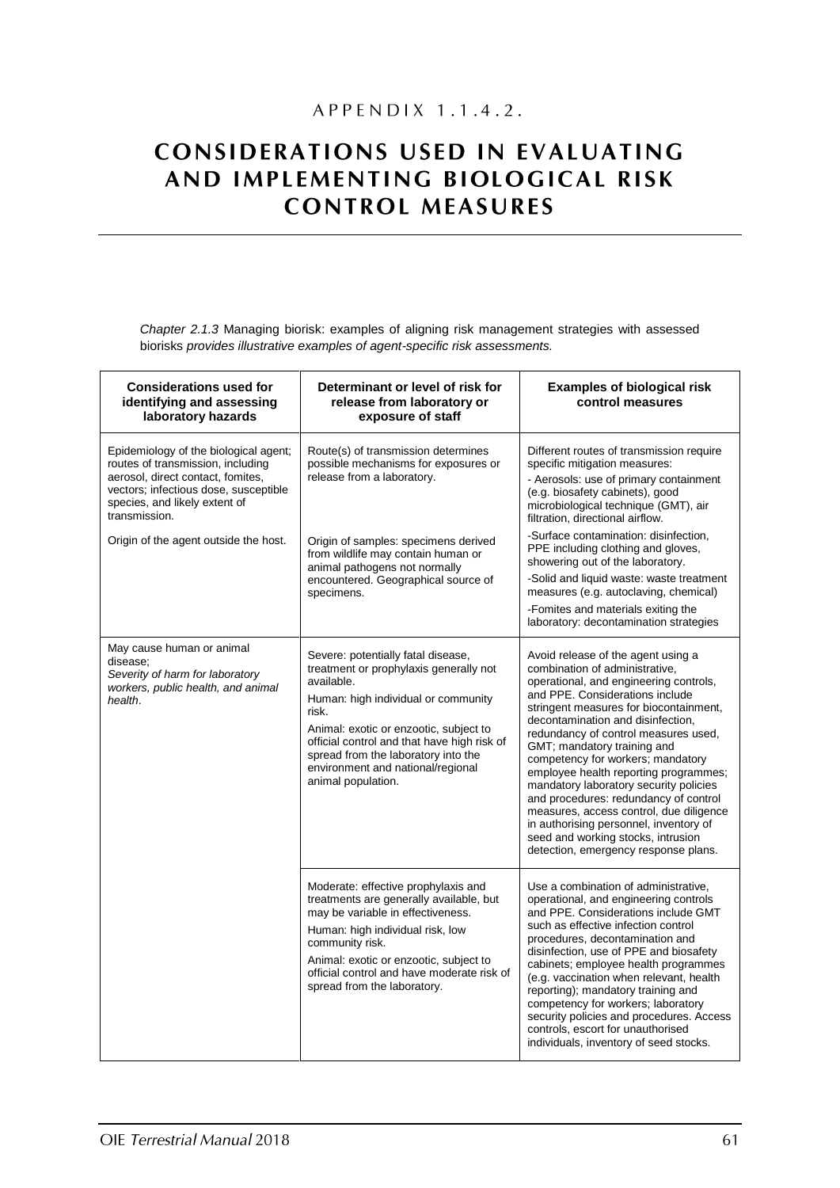# APPENDIX 1.1.4.2.

# **CONSIDERATIONS USED IN EVALUATING** AND IMPLEMENTING BIOLOGICAL RISK **CONTROL MEASURES**

Chapter 2.1.3 Managing biorisk: examples of aligning risk management strategies with assessed biorisks provides illustrative examples of agent-specific risk assessments.

| <b>Considerations used for</b><br>identifying and assessing<br>laboratory hazards                                                                                                                          | Determinant or level of risk for<br>release from laboratory or<br>exposure of staff                                                                                                                                                                                                                                                   | <b>Examples of biological risk</b><br>control measures                                                                                                                                                                                                                                                                                                                                                                                                                                                                                                                                                                                      |
|------------------------------------------------------------------------------------------------------------------------------------------------------------------------------------------------------------|---------------------------------------------------------------------------------------------------------------------------------------------------------------------------------------------------------------------------------------------------------------------------------------------------------------------------------------|---------------------------------------------------------------------------------------------------------------------------------------------------------------------------------------------------------------------------------------------------------------------------------------------------------------------------------------------------------------------------------------------------------------------------------------------------------------------------------------------------------------------------------------------------------------------------------------------------------------------------------------------|
| Epidemiology of the biological agent;<br>routes of transmission, including<br>aerosol, direct contact, fomites,<br>vectors; infectious dose, susceptible<br>species, and likely extent of<br>transmission. | Route(s) of transmission determines<br>possible mechanisms for exposures or<br>release from a laboratory.                                                                                                                                                                                                                             | Different routes of transmission require<br>specific mitigation measures:<br>- Aerosols: use of primary containment<br>(e.g. biosafety cabinets), good<br>microbiological technique (GMT), air<br>filtration, directional airflow.                                                                                                                                                                                                                                                                                                                                                                                                          |
| Origin of the agent outside the host.                                                                                                                                                                      | Origin of samples: specimens derived<br>from wildlife may contain human or<br>animal pathogens not normally<br>encountered. Geographical source of<br>specimens.                                                                                                                                                                      | -Surface contamination: disinfection,<br>PPE including clothing and gloves,<br>showering out of the laboratory.<br>-Solid and liquid waste: waste treatment<br>measures (e.g. autoclaving, chemical)<br>-Fomites and materials exiting the<br>laboratory: decontamination strategies                                                                                                                                                                                                                                                                                                                                                        |
| May cause human or animal<br>disease;<br>Severity of harm for laboratory<br>workers, public health, and animal<br>health.                                                                                  | Severe: potentially fatal disease,<br>treatment or prophylaxis generally not<br>available.<br>Human: high individual or community<br>risk.<br>Animal: exotic or enzootic, subject to<br>official control and that have high risk of<br>spread from the laboratory into the<br>environment and national/regional<br>animal population. | Avoid release of the agent using a<br>combination of administrative,<br>operational, and engineering controls,<br>and PPE. Considerations include<br>stringent measures for biocontainment,<br>decontamination and disinfection,<br>redundancy of control measures used,<br>GMT; mandatory training and<br>competency for workers; mandatory<br>employee health reporting programmes;<br>mandatory laboratory security policies<br>and procedures: redundancy of control<br>measures, access control, due diligence<br>in authorising personnel, inventory of<br>seed and working stocks, intrusion<br>detection, emergency response plans. |
|                                                                                                                                                                                                            | Moderate: effective prophylaxis and<br>treatments are generally available, but<br>may be variable in effectiveness.<br>Human: high individual risk, low<br>community risk.<br>Animal: exotic or enzootic, subject to<br>official control and have moderate risk of<br>spread from the laboratory.                                     | Use a combination of administrative,<br>operational, and engineering controls<br>and PPE. Considerations include GMT<br>such as effective infection control<br>procedures, decontamination and<br>disinfection, use of PPE and biosafety<br>cabinets; employee health programmes<br>(e.g. vaccination when relevant, health<br>reporting); mandatory training and<br>competency for workers; laboratory<br>security policies and procedures. Access<br>controls, escort for unauthorised<br>individuals, inventory of seed stocks.                                                                                                          |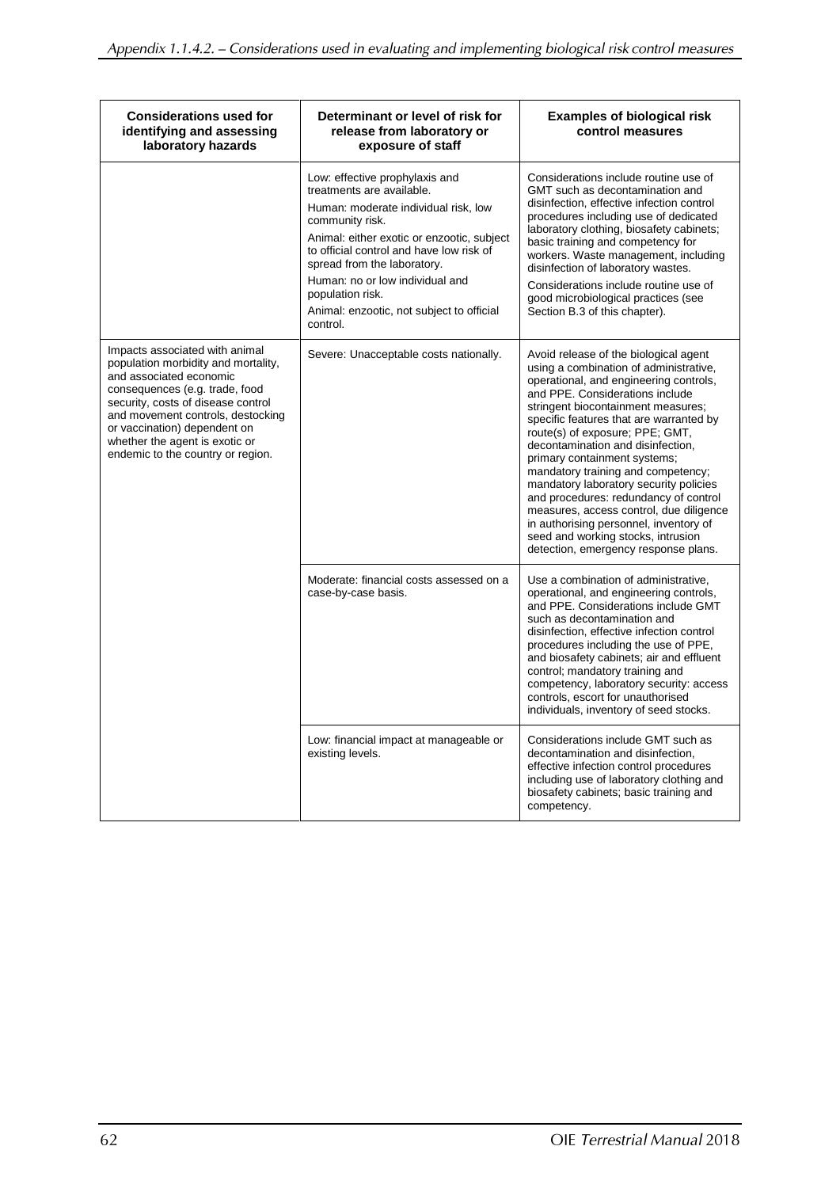| <b>Considerations used for</b><br>identifying and assessing<br>laboratory hazards                                                                                                                                                                                                                                    | Determinant or level of risk for<br>release from laboratory or<br>exposure of staff                                                                                                                                                                                                                                                                             | <b>Examples of biological risk</b><br>control measures                                                                                                                                                                                                                                                                                                                                                                                                                                                                                                                                                                                            |
|----------------------------------------------------------------------------------------------------------------------------------------------------------------------------------------------------------------------------------------------------------------------------------------------------------------------|-----------------------------------------------------------------------------------------------------------------------------------------------------------------------------------------------------------------------------------------------------------------------------------------------------------------------------------------------------------------|---------------------------------------------------------------------------------------------------------------------------------------------------------------------------------------------------------------------------------------------------------------------------------------------------------------------------------------------------------------------------------------------------------------------------------------------------------------------------------------------------------------------------------------------------------------------------------------------------------------------------------------------------|
|                                                                                                                                                                                                                                                                                                                      | Low: effective prophylaxis and<br>treatments are available.<br>Human: moderate individual risk, low<br>community risk.<br>Animal: either exotic or enzootic, subject<br>to official control and have low risk of<br>spread from the laboratory.<br>Human: no or low individual and<br>population risk.<br>Animal: enzootic, not subject to official<br>control. | Considerations include routine use of<br>GMT such as decontamination and<br>disinfection, effective infection control<br>procedures including use of dedicated<br>laboratory clothing, biosafety cabinets;<br>basic training and competency for<br>workers. Waste management, including<br>disinfection of laboratory wastes.<br>Considerations include routine use of<br>good microbiological practices (see<br>Section B.3 of this chapter).                                                                                                                                                                                                    |
| Impacts associated with animal<br>population morbidity and mortality,<br>and associated economic<br>consequences (e.g. trade, food<br>security, costs of disease control<br>and movement controls, destocking<br>or vaccination) dependent on<br>whether the agent is exotic or<br>endemic to the country or region. | Severe: Unacceptable costs nationally.                                                                                                                                                                                                                                                                                                                          | Avoid release of the biological agent<br>using a combination of administrative,<br>operational, and engineering controls,<br>and PPE. Considerations include<br>stringent biocontainment measures;<br>specific features that are warranted by<br>route(s) of exposure; PPE; GMT,<br>decontamination and disinfection,<br>primary containment systems;<br>mandatory training and competency;<br>mandatory laboratory security policies<br>and procedures: redundancy of control<br>measures, access control, due diligence<br>in authorising personnel, inventory of<br>seed and working stocks, intrusion<br>detection, emergency response plans. |
|                                                                                                                                                                                                                                                                                                                      | Moderate: financial costs assessed on a<br>case-by-case basis.                                                                                                                                                                                                                                                                                                  | Use a combination of administrative,<br>operational, and engineering controls,<br>and PPE. Considerations include GMT<br>such as decontamination and<br>disinfection, effective infection control<br>procedures including the use of PPE,<br>and biosafety cabinets; air and effluent<br>control; mandatory training and<br>competency, laboratory security: access<br>controls, escort for unauthorised<br>individuals, inventory of seed stocks.                                                                                                                                                                                                |
|                                                                                                                                                                                                                                                                                                                      | Low: financial impact at manageable or<br>existing levels.                                                                                                                                                                                                                                                                                                      | Considerations include GMT such as<br>decontamination and disinfection.<br>effective infection control procedures<br>including use of laboratory clothing and<br>biosafety cabinets; basic training and<br>competency.                                                                                                                                                                                                                                                                                                                                                                                                                            |